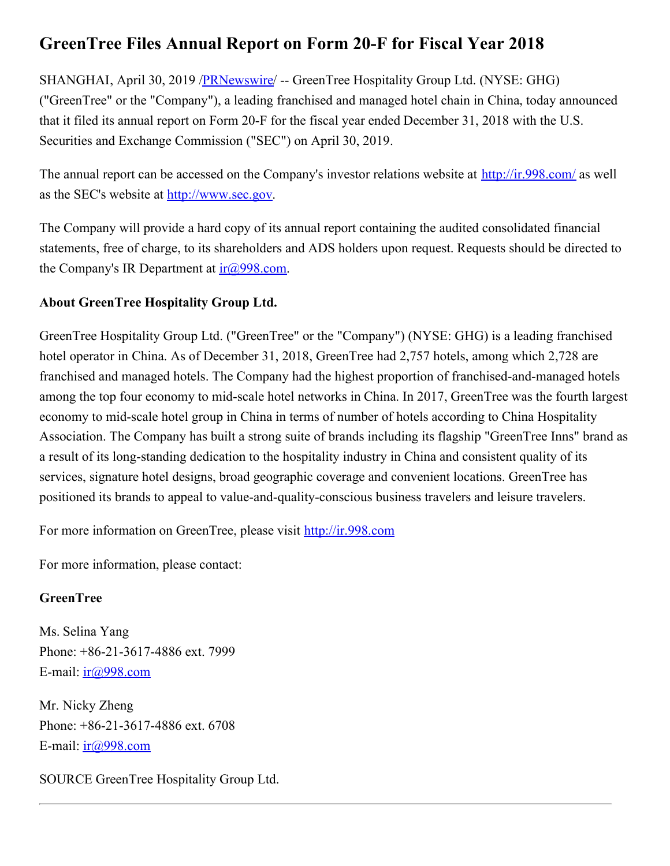## **GreenTree Files Annual Report on Form 20-F for Fiscal Year 2018**

SHANGHAI, April 30, 2019 [/PRNewswire](http://www.prnewswire.com/)/ -- GreenTree Hospitality Group Ltd. (NYSE: GHG) ("GreenTree" or the "Company"), a leading franchised and managed hotel chain in China, today announced that it filed its annual report on Form 20-F for the fiscal year ended December 31, 2018 with the U.S. Securities and Exchange Commission ("SEC") on April 30, 2019.

The annual report can be accessed on the Company's investor relations website at <http://ir.998.com/> as well as the SEC's website at [http://www.sec.gov](http://www.sec.gov/).

The Company will provide a hard copy of its annual report containing the audited consolidated financial statements, free of charge, to its shareholders and ADS holders upon request. Requests should be directed to the Company's IR Department at  $ir(\partial 998 \text{.com})$ .

## **About GreenTree Hospitality Group Ltd.**

GreenTree Hospitality Group Ltd. ("GreenTree" or the "Company") (NYSE: GHG) is a leading franchised hotel operator in China. As of December 31, 2018, GreenTree had 2,757 hotels, among which 2,728 are franchised and managed hotels. The Company had the highest proportion of franchised-and-managed hotels among the top four economy to mid-scale hotel networks in China. In 2017, GreenTree was the fourth largest economy to mid-scale hotel group in China in terms of number of hotels according to China Hospitality Association. The Company has built a strong suite of brands including its flagship "GreenTree Inns" brand as a result of its long-standing dedication to the hospitality industry in China and consistent quality of its services, signature hotel designs, broad geographic coverage and convenient locations. GreenTree has positioned its brands to appeal to value-and-quality-conscious business travelers and leisure travelers.

For more information on GreenTree, please visit [http://ir.998.com](http://ir.998.com/)

For more information, please contact:

## **GreenTree**

Ms. Selina Yang Phone: +86-21-3617-4886 ext. 7999 E-mail:  $ir(a)998.com$ 

Mr. Nicky Zheng Phone: +86-21-3617-4886 ext. 6708 E-mail:  $ir@998.com$ 

SOURCE GreenTree Hospitality Group Ltd.